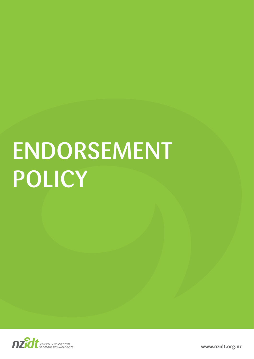# ENDORSEMENT **POLICY**



**www.nzidt.org.nz**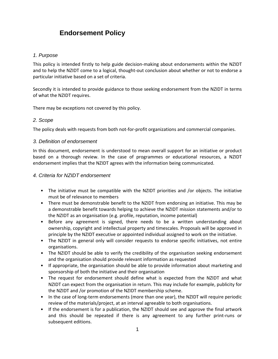# **Endorsement Policy**

## *1. Purpose*

This policy is intended firstly to help guide decision‐making about endorsements within the NZIDT and to help the NZIDT come to a logical, thought‐out conclusion about whether or not to endorse a particular initiative based on a set of criteria.

Secondly it is intended to provide guidance to those seeking endorsement from the NZIDT in terms of what the NZIDT requires.

There may be exceptions not covered by this policy.

## *2. Scope*

The policy deals with requests from both not-for-profit organizations and commercial companies.

## *3. Definition of endorsement*

In this document, endorsement is understood to mean overall support for an initiative or product based on a thorough review. In the case of programmes or educational resources, a NZIDT endorsement implies that the NZIDT agrees with the information being communicated.

#### *4. Criteria for NZIDT endorsement*

- The initiative must be compatible with the NZIDT priorities and /or objects. The initiative must be of relevance to members
- There must be demonstrable benefit to the NZIDT from endorsing an initiative. This may be a demonstrable benefit towards helping to achieve the NZIDT mission statements and/or to the NZIDT as an organisation (e.g. profile, reputation, income potential)
- Before any agreement is signed, there needs to be a written understanding about ownership, copyright and intellectual property and timescales. Proposals will be approved in principle by the NZIDT executive or appointed individual assigned to work on the initiative.
- The NZIDT in general only will consider requests to endorse specific initiatives, not entire organisations.
- The NZIDT should be able to verify the credibility of the organisation seeking endorsement and the organisation should provide relevant information as requested
- If appropriate, the organisation should be able to provide information about marketing and sponsorship of both the initiative and their organisation
- The request for endorsement should define what is expected from the NZIDT and what NZIDT can expect from the organisation in return. This may include for example, publicity for the NZIDT and /or promotion of the NZIDT membership scheme.
- In the case of long-term endorsements (more than one year), the NZIDT will require periodic review of the materials/project, at an interval agreeable to both organisations.
- If the endorsement is for a publication, the NZIDT should see and approve the final artwork and this should be repeated if there is any agreement to any further print‐runs or subsequent editions.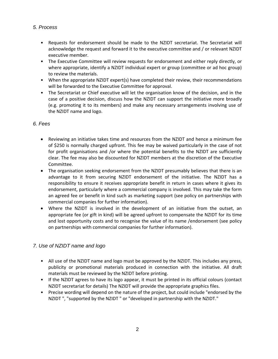## *5. Process*

- Requests for endorsement should be made to the NZIDT secretariat. The Secretariat will acknowledge the request and forward it to the executive committee and / or relevant NZIDT executive member.
- The Executive Committee will review requests for endorsement and either reply directly, or where appropriate, identify a NZIDT individual expert or group (committee or ad hoc group) to review the materials.
- When the appropriate NZIDT expert(s) have completed their review, their recommendations will be forwarded to the Executive Committee for approval.
- The Secretariat or Chief executive will let the organisation know of the decision, and in the case of a positive decision, discuss how the NZIDT can support the initiative more broadly (e.g. promoting it to its members) and make any necessary arrangements involving use of the NZIDT name and logo.

## *6. Fees*

- Reviewing an initiative takes time and resources from the NZIDT and hence a minimum fee of \$250 is normally charged upfront. This fee may be waived particularly in the case of not for profit organisations and /or where the potential benefits to the NZIDT are sufficiently clear. The fee may also be discounted for NZIDT members at the discretion of the Executive Committee.
- The organisation seeking endorsement from the NZIDT presumably believes that there is an advantage to it from securing NZIDT endorsement of the initiative. The NZIDT has a responsibility to ensure it receives appropriate benefit in return in cases where it gives its endorsement, particularly where a commercial company is involved. This may take the form an agreed fee or benefit in kind such as marketing support (see policy on partnerships with commercial companies for further information).
- Where the NZIDT is involved in the development of an initiative from the outset, an appropriate fee (or gift in kind) will be agreed upfront to compensate the NZIDT for its time and lost opportunity costs and to recognise the value of its name /endorsement (see policy on partnerships with commercial companies for further information).

## *7. Use of NZIDT name and logo*

- All use of the NZIDT name and logo must be approved by the NZIDT. This includes any press, publicity or promotional materials produced in connection with the initiative. All draft materials must be reviewed by the NZIDT before printing.
- If the NZIDT agrees to have its logo appear, it must be printed in its official colours (contact NZIDT secretariat for details) The NZIDT will provide the appropriate graphics files.
- Precise wording will depend on the nature of the project, but could include "endorsed by the NZIDT ", "supported by the NZIDT " or "developed in partnership with the NZIDT."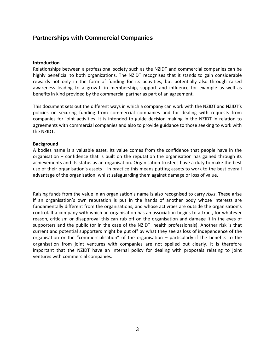## **Partnerships with Commercial Companies**

#### **Introduction**

Relationships between a professional society such as the NZIDT and commercial companies can be highly beneficial to both organizations. The NZIDT recognises that it stands to gain considerable rewards not only in the form of funding for its activities, but potentially also through raised awareness leading to a growth in membership, support and influence for example as well as benefits in kind provided by the commercial partner as part of an agreement.

This document sets out the different ways in which a company can work with the NZIDT and NZIDT's policies on securing funding from commercial companies and for dealing with requests from companies for joint activities. It is intended to guide decision making in the NZIDT in relation to agreements with commercial companies and also to provide guidance to those seeking to work with the NZIDT.

#### **Background**

A bodies name is a valuable asset. Its value comes from the confidence that people have in the organisation – confidence that is built on the reputation the organisation has gained through its achievements and its status as an organisation. Organisation trustees have a duty to make the best use of their organisation's assets – in practice this means putting assets to work to the best overall advantage of the organisation, whilst safeguarding them against damage or loss of value.

Raising funds from the value in an organisation's name is also recognised to carry *risks*. These arise if an organisation's own reputation is put in the hands of another body whose interests are fundamentally different from the organisations, and whose activities are outside the organisation's control. If a company with which an organisation has an association begins to attract, for whatever reason, criticism or disapproval this can rub off on the organisation and damage it in the eyes of supporters and the public (or in the case of the NZIDT, health professionals). Another risk is that current and potential supporters might be put off by what they see as loss of independence of the organisation or the "commercialisation" of the organisation – particularly if the benefits to the organisation from joint ventures with companies are not spelled out clearly. It is therefore important that the NZIDT have an internal policy for dealing with proposals relating to joint ventures with commercial companies.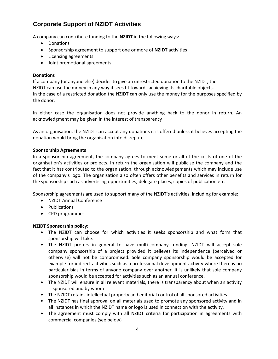# **Corporate Support of NZIDT Activities**

A company can contribute funding to the **NZIDT** in the following ways:

- Donations
- Sponsorship agreement to support one or more of **NZIDT** activities
- Licensing agreements
- Joint promotional agreements

### **Donations**

If a company (or anyone else) decides to give an unrestricted donation to the NZIDT, the NZIDT can use the money in any way it sees fit towards achieving its charitable objects. In the case of a restricted donation the NZIDT can only use the money for the purposes specified by the donor.

In either case the organisation does not provide anything back to the donor in return. An acknowledgment may be given in the interest of transparency

As an organisation, the NZIDT can accept any donations it is offered unless it believes accepting the donation would bring the organisation into disrepute.

#### **Sponsorship Agreements**

In a sponsorship agreement, the company agrees to meet some or all of the costs of one of the organisation's activities or projects. In return the organisation will publicise the company and the fact that it has contributed to the organisation, through acknowledgements which may include use of the company's logo. The organisation also often offers other benefits and services in return for the sponsorship such as advertising opportunities, delegate places, copies of publication etc.

Sponsorship agreements are used to support many of the NZIDT's activities, including for example:

- NZIDT Annual Conference
- Publications
- CPD programmes

## **NZIDT Sponsorship policy:**

- The NZIDT can choose for which activities it seeks sponsorship and what form that sponsorship will take.
- The NZIDT prefers in general to have multi-company funding. NZIDT will accept sole company sponsorship of a project provided it believes its independence (perceived or otherwise) will not be compromised. Sole company sponsorship would be accepted for example for indirect activities such as a professional development activity where there is no particular bias in terms of anyone company over another. It is unlikely that sole company sponsorship would be accepted for activities such as an annual conference.
- The NZIDT will ensure in all relevant materials, there is transparency about when an activity is sponsored and by whom
- The NZIDT retains intellectual property and editorial control of all sponsored activities
- The NZIDT has final approval on all materials used to promote any sponsored activity and in all instances in which the NZIDT name or logo is used in connection with the activity.
- The agreement must comply with all NZIDT criteria for participation in agreements with commercial companies (see below)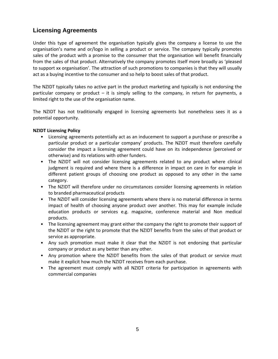## **Licensing Agreements**

Under this type of agreement the organisation typically gives the company a license to use the organisation's name and or/logo in selling a product or service. The company typically promotes sales of the product with a promise to the consumer that the organisation will benefit financially from the sales of that product. Alternatively the company promotes itself more broadly as 'pleased to support xx organisation'. The attraction of such promotions to companies is that they will usually act as a buying incentive to the consumer and so help to boost sales of that product.

The NZIDT typically takes no active part in the product marketing and typically is not endorsing the particular company or product  $-$  it is simply selling to the company, in return for payments, a limited right to the use of the organisation name.

The NZIDT has not traditionally engaged in licensing agreements but nonetheless sees it as a potential opportunity.

## **NZIDT Licensing Policy**

- Licensing agreements potentially act as an inducement to support a purchase or prescribe a particular product or a particular company' products. The NZIDT must therefore carefully consider the impact a licensing agreement could have on its independence (perceived or otherwise) and its relations with other funders.
- The NZIDT will not consider licensing agreements related to any product where clinical judgment is required and where there is a difference in impact on care in for example in different patient groups of choosing one product as opposed to any other in the same category.
- The NZIDT will therefore under no circumstances consider licensing agreements in relation to branded pharmaceutical products
- The NZIDT will consider licensing agreements where there is no material difference in terms impact of health of choosing anyone product over another. This may for example include education products or services e.g. magazine, conference material and Non medical products.
- The licensing agreement may grant either the company the right to promote their support of the NZIDT or the right to promote that the NZIDT benefits from the sales of that product or service as appropriate.
- Any such promotion must make it clear that the NZIDT is not endorsing that particular company or product as any better than any other.
- Any promotion where the NZIDT benefits from the sales of that product or service must make it explicit how much the NZIDT receives from each purchase.
- The agreement must comply with all NZIDT criteria for participation in agreements with commercial companies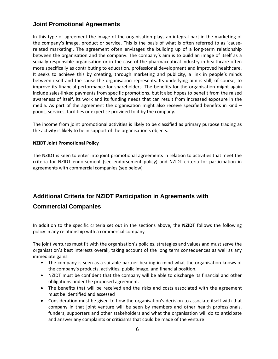## **Joint Promotional Agreements**

In this type of agreement the image of the organisation plays an integral part in the marketing of the company's image, product or service. This is the basis of what is often referred to as 'cause‐ related marketing'. The agreement often envisages the building up of a long-term relationship between the organisation and the company. The company's aim is to build an image of itself as a socially responsible organisation or in the case of the pharmaceutical industry in healthcare often more specifically as contributing to education, professional development and improved healthcare. It seeks to achieve this by creating, through marketing and publicity, a link in people's minds between itself and the cause the organisation represents. Its underlying aim is still, of course, to improve its financial performance for shareholders. The benefits for the organisation might again include sales‐linked payments from specific promotions, but it also hopes to benefit from the raised awareness of itself, its work and its funding needs that can result from increased exposure in the media. As part of the agreement the organisation might also receive specified benefits in kind – goods, services, facilities or expertise provided to it by the company.

The income from joint promotional activities is likely to be classified as primary purpose trading as the activity is likely to be in support of the organisation's objects.

## **NZIDT Joint Promotional Policy**

The NZIDT is keen to enter into joint promotional agreements in relation to activities that meet the criteria for NZIDT endorsement (see endorsement policy) and NZIDT criteria for participation in agreements with commercial companies (see below)

# **Additional Criteria for NZIDT Participation in Agreements with**

## **Commercial Companies**

In addition to the specific criteria set out in the sections above, the **NZIDT** follows the following policy in any relationship with a commercial company

The joint ventures must fit with the organisation's policies, strategies and values and must serve the organisation's best interests overall, taking account of the long term consequences as well as any immediate gains.

- The company is seen as a suitable partner bearing in mind what the organisation knows of the company's products, activities, public image, and financial position.
- NZIDT must be confident that the company will be able to discharge its financial and other obligations under the proposed agreement.
- The benefits that will be received and the risks and costs associated with the agreement must be identified and assessed
- Consideration must be given to how the organisation's decision to associate itself with that company in that joint venture will be seen by members and other health professionals, funders, supporters and other stakeholders and what the organisation will do to anticipate and answer any complaints or criticisms that could be made of the venture